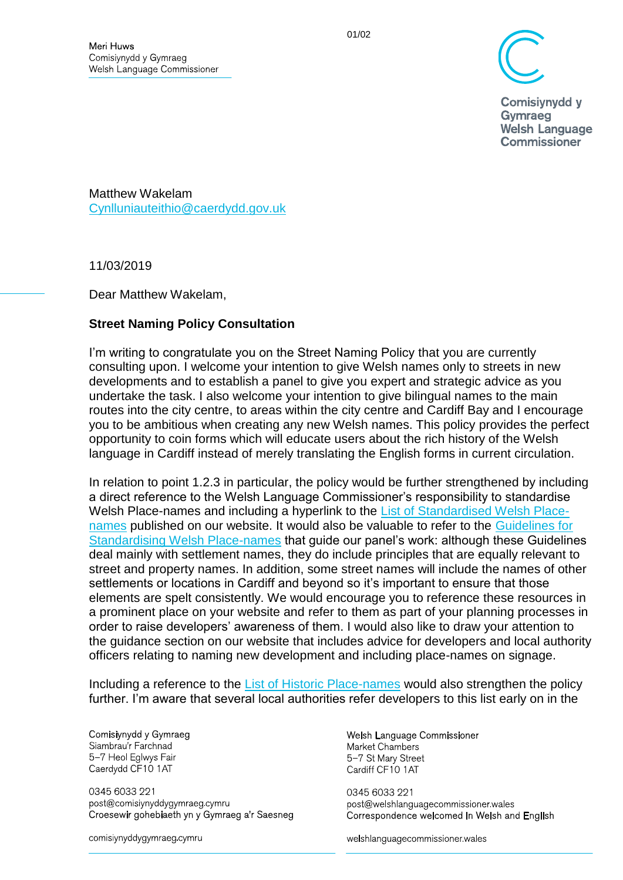

**Comisivnydd v** Gymraeg **Welsh Language Commissioner** 

Matthew Wakelam [Cynlluniauteithio@caerdydd.gov.uk](mailto:Cynlluniauteithio@caerdydd.gov.uk)

11/03/2019

Dear Matthew Wakelam,

## **Street Naming Policy Consultation**

I'm writing to congratulate you on the Street Naming Policy that you are currently consulting upon. I welcome your intention to give Welsh names only to streets in new developments and to establish a panel to give you expert and strategic advice as you undertake the task. I also welcome your intention to give bilingual names to the main routes into the city centre, to areas within the city centre and Cardiff Bay and I encourage you to be ambitious when creating any new Welsh names. This policy provides the perfect opportunity to coin forms which will educate users about the rich history of the Welsh language in Cardiff instead of merely translating the English forms in current circulation.

In relation to point 1.2.3 in particular, the policy would be further strengthened by including a direct reference to the Welsh Language Commissioner's responsibility to standardise Welsh Place-names and including a hyperlink to the [List of Standardised Welsh Place](List%20of%20Standardised%20Welsh%20Place-names)[names](List%20of%20Standardised%20Welsh%20Place-names) published on our website. It would also be valuable to refer to the [Guidelines for](http://www.comisiynyddygymraeg.cymru/English/Publications%20List/20180618%20DG%20S%20Guidelines%20for%20Standardising%20Place-names%20in%20Wales.pdf)  [Standardising Welsh Place-names](http://www.comisiynyddygymraeg.cymru/English/Publications%20List/20180618%20DG%20S%20Guidelines%20for%20Standardising%20Place-names%20in%20Wales.pdf) that guide our panel's work: although these Guidelines deal mainly with settlement names, they do include principles that are equally relevant to street and property names. In addition, some street names will include the names of other settlements or locations in Cardiff and beyond so it's important to ensure that those elements are spelt consistently. We would encourage you to reference these resources in a prominent place on your website and refer to them as part of your planning processes in order to raise developers' awareness of them. I would also like to draw your attention to the guidance section on our website that includes advice for developers and local authority officers relating to naming new development and including place-names on signage.

Including a reference to the [List of Historic Place-names](https://historicplacenames.rcahmw.gov.uk/) would also strengthen the policy further. I'm aware that several local authorities refer developers to this list early on in the

## Comisiynydd y Gymraeg

Siambrau'r Farchnad 5-7 Heol Eglwys Fair Caerdydd CF10 1AT

0345 6033 221 post@comisiynyddygymraeg.cymru Croesewir gohebiaeth yn y Gymraeg a'r Saesneg

comisiynyddygymraeg cymru

## Welsh Language Commissioner Market Chambers 5-7 St Mary Street Cardiff CF10 1AT

0345 6033 221 post@welshlanguagecommissioner wales Correspondence welcomed in Welsh and English

welshlanguagecommissioner wales